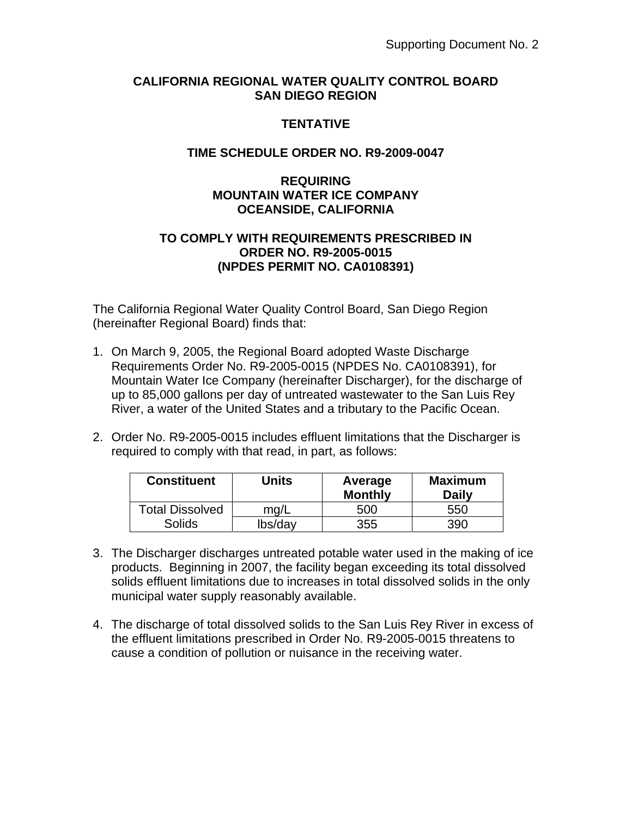## **CALIFORNIA REGIONAL WATER QUALITY CONTROL BOARD SAN DIEGO REGION**

## **TENTATIVE**

## **TIME SCHEDULE ORDER NO. R9-2009-0047**

#### **REQUIRING MOUNTAIN WATER ICE COMPANY OCEANSIDE, CALIFORNIA**

### **TO COMPLY WITH REQUIREMENTS PRESCRIBED IN ORDER NO. R9-2005-0015 (NPDES PERMIT NO. CA0108391)**

The California Regional Water Quality Control Board, San Diego Region (hereinafter Regional Board) finds that:

- 1. On March 9, 2005, the Regional Board adopted Waste Discharge Requirements Order No. R9-2005-0015 (NPDES No. CA0108391), for Mountain Water Ice Company (hereinafter Discharger), for the discharge of up to 85,000 gallons per day of untreated wastewater to the San Luis Rey River, a water of the United States and a tributary to the Pacific Ocean.
- 2. Order No. R9-2005-0015 includes effluent limitations that the Discharger is required to comply with that read, in part, as follows:

| <b>Constituent</b> | Units   | Average<br><b>Monthly</b> | <b>Maximum</b><br><b>Daily</b> |
|--------------------|---------|---------------------------|--------------------------------|
| Total Dissolved    | mq/L    | 500                       | 550                            |
| <b>Solids</b>      | lbs/day | 355                       | 390                            |

- 3. The Discharger discharges untreated potable water used in the making of ice products. Beginning in 2007, the facility began exceeding its total dissolved solids effluent limitations due to increases in total dissolved solids in the only municipal water supply reasonably available.
- 4. The discharge of total dissolved solids to the San Luis Rey River in excess of the effluent limitations prescribed in Order No. R9-2005-0015 threatens to cause a condition of pollution or nuisance in the receiving water.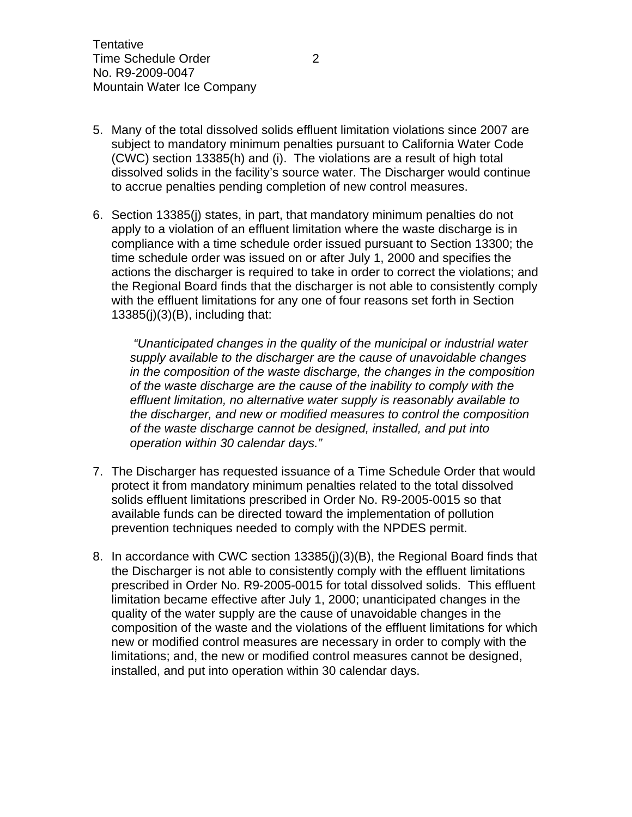- 5. Many of the total dissolved solids effluent limitation violations since 2007 are subject to mandatory minimum penalties pursuant to California Water Code (CWC) section 13385(h) and (i). The violations are a result of high total dissolved solids in the facility's source water. The Discharger would continue to accrue penalties pending completion of new control measures.
- 6. Section 13385(j) states, in part, that mandatory minimum penalties do not apply to a violation of an effluent limitation where the waste discharge is in compliance with a time schedule order issued pursuant to Section 13300; the time schedule order was issued on or after July 1, 2000 and specifies the actions the discharger is required to take in order to correct the violations; and the Regional Board finds that the discharger is not able to consistently comply with the effluent limitations for any one of four reasons set forth in Section 13385(j)(3)(B), including that:

*"Unanticipated changes in the quality of the municipal or industrial water supply available to the discharger are the cause of unavoidable changes in the composition of the waste discharge, the changes in the composition of the waste discharge are the cause of the inability to comply with the effluent limitation, no alternative water supply is reasonably available to the discharger, and new or modified measures to control the composition of the waste discharge cannot be designed, installed, and put into operation within 30 calendar days."*

- 7. The Discharger has requested issuance of a Time Schedule Order that would protect it from mandatory minimum penalties related to the total dissolved solids effluent limitations prescribed in Order No. R9-2005-0015 so that available funds can be directed toward the implementation of pollution prevention techniques needed to comply with the NPDES permit.
- 8. In accordance with CWC section 13385(j)(3)(B), the Regional Board finds that the Discharger is not able to consistently comply with the effluent limitations prescribed in Order No. R9-2005-0015 for total dissolved solids. This effluent limitation became effective after July 1, 2000; unanticipated changes in the quality of the water supply are the cause of unavoidable changes in the composition of the waste and the violations of the effluent limitations for which new or modified control measures are necessary in order to comply with the limitations; and, the new or modified control measures cannot be designed, installed, and put into operation within 30 calendar days.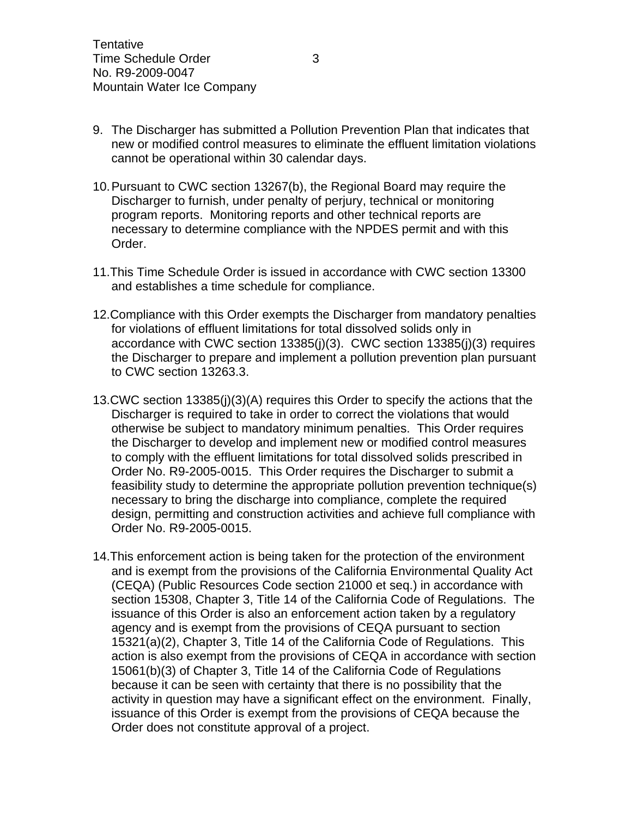- 9. The Discharger has submitted a Pollution Prevention Plan that indicates that new or modified control measures to eliminate the effluent limitation violations cannot be operational within 30 calendar days.
- 10. Pursuant to CWC section 13267(b), the Regional Board may require the Discharger to furnish, under penalty of perjury, technical or monitoring program reports. Monitoring reports and other technical reports are necessary to determine compliance with the NPDES permit and with this Order.
- 11.This Time Schedule Order is issued in accordance with CWC section 13300 and establishes a time schedule for compliance.
- 12.Compliance with this Order exempts the Discharger from mandatory penalties for violations of effluent limitations for total dissolved solids only in accordance with CWC section 13385(j)(3). CWC section 13385(j)(3) requires the Discharger to prepare and implement a pollution prevention plan pursuant to CWC section 13263.3.
- 13.CWC section 13385(j)(3)(A) requires this Order to specify the actions that the Discharger is required to take in order to correct the violations that would otherwise be subject to mandatory minimum penalties. This Order requires the Discharger to develop and implement new or modified control measures to comply with the effluent limitations for total dissolved solids prescribed in Order No. R9-2005-0015. This Order requires the Discharger to submit a feasibility study to determine the appropriate pollution prevention technique(s) necessary to bring the discharge into compliance, complete the required design, permitting and construction activities and achieve full compliance with Order No. R9-2005-0015.
- 14.This enforcement action is being taken for the protection of the environment and is exempt from the provisions of the California Environmental Quality Act (CEQA) (Public Resources Code section 21000 et seq.) in accordance with section 15308, Chapter 3, Title 14 of the California Code of Regulations. The issuance of this Order is also an enforcement action taken by a regulatory agency and is exempt from the provisions of CEQA pursuant to section 15321(a)(2), Chapter 3, Title 14 of the California Code of Regulations. This action is also exempt from the provisions of CEQA in accordance with section 15061(b)(3) of Chapter 3, Title 14 of the California Code of Regulations because it can be seen with certainty that there is no possibility that the activity in question may have a significant effect on the environment. Finally, issuance of this Order is exempt from the provisions of CEQA because the Order does not constitute approval of a project.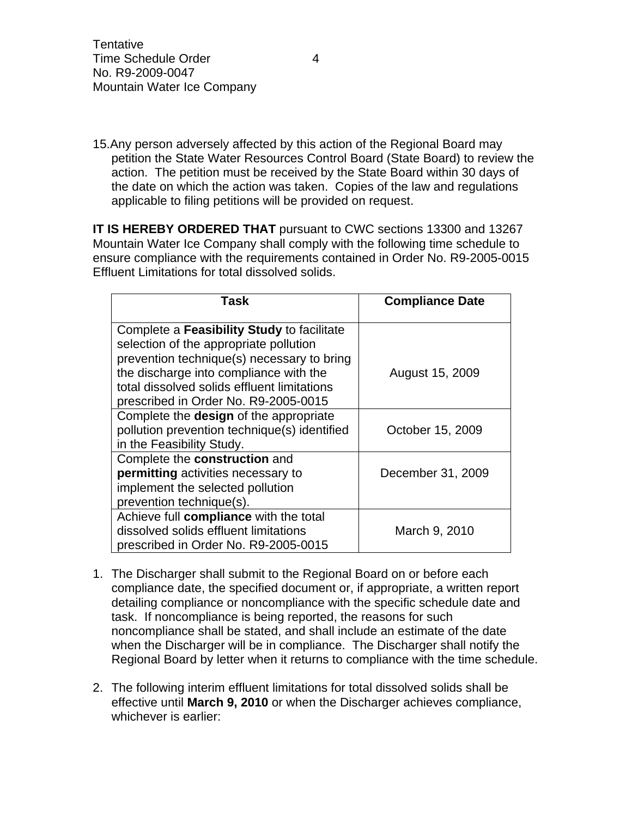15.Any person adversely affected by this action of the Regional Board may petition the State Water Resources Control Board (State Board) to review the action. The petition must be received by the State Board within 30 days of the date on which the action was taken. Copies of the law and regulations applicable to filing petitions will be provided on request.

**IT IS HEREBY ORDERED THAT** pursuant to CWC sections 13300 and 13267 Mountain Water Ice Company shall comply with the following time schedule to ensure compliance with the requirements contained in Order No. R9-2005-0015 Effluent Limitations for total dissolved solids.

| Task                                                                                                                                                                                                                                                                | <b>Compliance Date</b> |
|---------------------------------------------------------------------------------------------------------------------------------------------------------------------------------------------------------------------------------------------------------------------|------------------------|
| Complete a Feasibility Study to facilitate<br>selection of the appropriate pollution<br>prevention technique(s) necessary to bring<br>the discharge into compliance with the<br>total dissolved solids effluent limitations<br>prescribed in Order No. R9-2005-0015 | August 15, 2009        |
| Complete the <b>design</b> of the appropriate<br>pollution prevention technique(s) identified<br>in the Feasibility Study.                                                                                                                                          | October 15, 2009       |
| Complete the construction and<br>permitting activities necessary to<br>implement the selected pollution<br>prevention technique(s).                                                                                                                                 | December 31, 2009      |
| Achieve full compliance with the total<br>dissolved solids effluent limitations<br>prescribed in Order No. R9-2005-0015                                                                                                                                             | March 9, 2010          |

- 1. The Discharger shall submit to the Regional Board on or before each compliance date, the specified document or, if appropriate, a written report detailing compliance or noncompliance with the specific schedule date and task. If noncompliance is being reported, the reasons for such noncompliance shall be stated, and shall include an estimate of the date when the Discharger will be in compliance. The Discharger shall notify the Regional Board by letter when it returns to compliance with the time schedule.
- 2. The following interim effluent limitations for total dissolved solids shall be effective until **March 9, 2010** or when the Discharger achieves compliance, whichever is earlier: